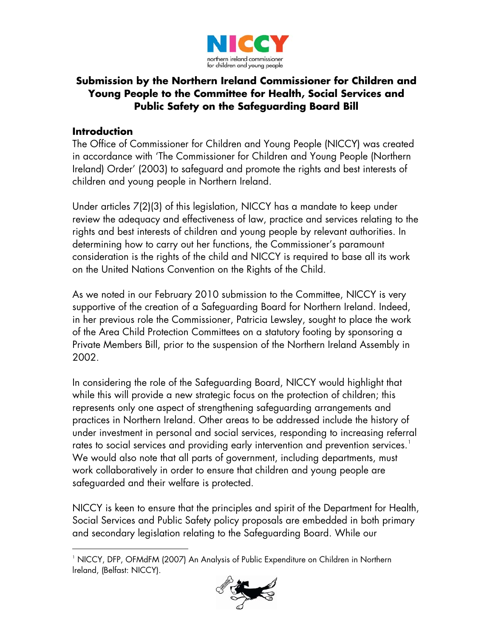

# **Submission by the Northern Ireland Commissioner for Children and Young People to the Committee for Health, Social Services and Public Safety on the Safeguarding Board Bill**

#### **Introduction**

 $\overline{a}$ 

The Office of Commissioner for Children and Young People (NICCY) was created in accordance with 'The Commissioner for Children and Young People (Northern Ireland) Order' (2003) to safeguard and promote the rights and best interests of children and young people in Northern Ireland.

Under articles 7(2)(3) of this legislation, NICCY has a mandate to keep under review the adequacy and effectiveness of law, practice and services relating to the rights and best interests of children and young people by relevant authorities. In determining how to carry out her functions, the Commissioner's paramount consideration is the rights of the child and NICCY is required to base all its work on the United Nations Convention on the Rights of the Child.

As we noted in our February 2010 submission to the Committee, NICCY is very supportive of the creation of a Safeguarding Board for Northern Ireland. Indeed, in her previous role the Commissioner, Patricia Lewsley, sought to place the work of the Area Child Protection Committees on a statutory footing by sponsoring a Private Members Bill, prior to the suspension of the Northern Ireland Assembly in 2002.

In considering the role of the Safeguarding Board, NICCY would highlight that while this will provide a new strategic focus on the protection of children; this represents only one aspect of strengthening safeguarding arrangements and practices in Northern Ireland. Other areas to be addressed include the history of under investment in personal and social services, responding to increasing referral rates to social services and providing early intervention and prevention services.<sup>[1](#page-0-0)</sup> We would also note that all parts of government, including departments, must work collaboratively in order to ensure that children and young people are safeguarded and their welfare is protected.

NICCY is keen to ensure that the principles and spirit of the Department for Health, Social Services and Public Safety policy proposals are embedded in both primary and secondary legislation relating to the Safeguarding Board. While our

<span id="page-0-0"></span><sup>1</sup> NICCY, DFP, OFMdFM (2007) An Analysis of Public Expenditure on Children in Northern lreland, (Belfast: NICCY).

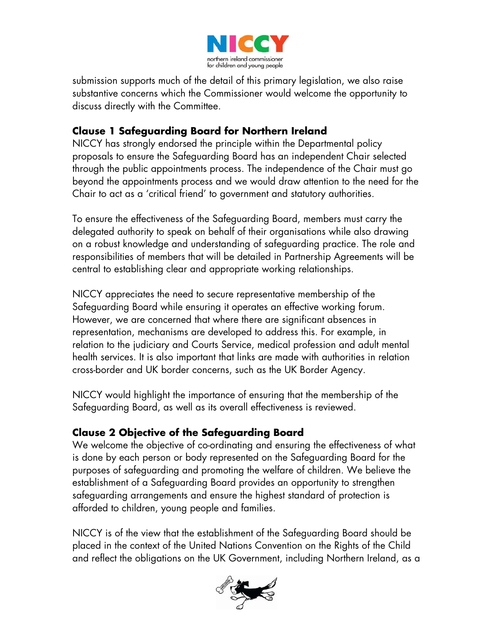

submission supports much of the detail of this primary legislation, we also raise substantive concerns which the Commissioner would welcome the opportunity to discuss directly with the Committee.

# **Clause 1 Safeguarding Board for Northern Ireland**

NICCY has strongly endorsed the principle within the Departmental policy proposals to ensure the Safeguarding Board has an independent Chair selected through the public appointments process. The independence of the Chair must go beyond the appointments process and we would draw attention to the need for the Chair to act as a 'critical friend' to government and statutory authorities.

To ensure the effectiveness of the Safeguarding Board, members must carry the delegated authority to speak on behalf of their organisations while also drawing on a robust knowledge and understanding of safeguarding practice. The role and responsibilities of members that will be detailed in Partnership Agreements will be central to establishing clear and appropriate working relationships.

NICCY appreciates the need to secure representative membership of the Safeguarding Board while ensuring it operates an effective working forum. However, we are concerned that where there are significant absences in representation, mechanisms are developed to address this. For example, in relation to the judiciary and Courts Service, medical profession and adult mental health services. It is also important that links are made with authorities in relation cross-border and UK border concerns, such as the UK Border Agency.

NICCY would highlight the importance of ensuring that the membership of the Safeguarding Board, as well as its overall effectiveness is reviewed.

#### **Clause 2 Objective of the Safeguarding Board**

We welcome the objective of co-ordinating and ensuring the effectiveness of what is done by each person or body represented on the Safeguarding Board for the purposes of safeguarding and promoting the welfare of children. We believe the establishment of a Safeguarding Board provides an opportunity to strengthen safeguarding arrangements and ensure the highest standard of protection is afforded to children, young people and families.

NICCY is of the view that the establishment of the Safeguarding Board should be placed in the context of the United Nations Convention on the Rights of the Child and reflect the obligations on the UK Government, including Northern Ireland, as a

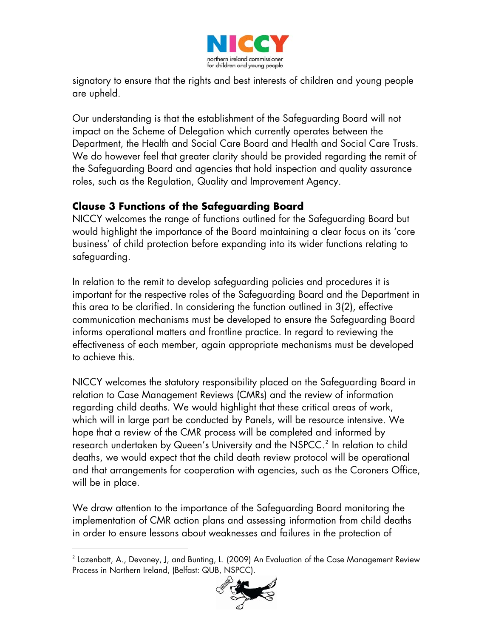

signatory to ensure that the rights and best interests of children and young people are upheld.

Our understanding is that the establishment of the Safeguarding Board will not impact on the Scheme of Delegation which currently operates between the Department, the Health and Social Care Board and Health and Social Care Trusts. We do however feel that greater clarity should be provided regarding the remit of the Safeguarding Board and agencies that hold inspection and quality assurance roles, such as the Regulation, Quality and Improvement Agency.

#### **Clause 3 Functions of the Safeguarding Board**

NICCY welcomes the range of functions outlined for the Safeguarding Board but would highlight the importance of the Board maintaining a clear focus on its 'core business' of child protection before expanding into its wider functions relating to safeguarding.

In relation to the remit to develop safeguarding policies and procedures it is important for the respective roles of the Safeguarding Board and the Department in this area to be clarified. In considering the function outlined in 3(2), effective communication mechanisms must be developed to ensure the Safeguarding Board informs operational matters and frontline practice. In regard to reviewing the effectiveness of each member, again appropriate mechanisms must be developed to achieve this.

NICCY welcomes the statutory responsibility placed on the Safeguarding Board in relation to Case Management Reviews (CMRs) and the review of information regarding child deaths. We would highlight that these critical areas of work, which will in large part be conducted by Panels, will be resource intensive. We hope that a review of the CMR process will be completed and informed by research undertaken by Queen's University and the NSPCC. $^2$  $^2$  In relation to child deaths, we would expect that the child death review protocol will be operational and that arrangements for cooperation with agencies, such as the Coroners Office, will be in place.

We draw attention to the importance of the Safeguarding Board monitoring the implementation of CMR action plans and assessing information from child deaths in order to ensure lessons about weaknesses and failures in the protection of

 $\overline{a}$ 

<span id="page-2-0"></span> $^{\rm 2}$  Lazenbatt, A., Devaney, J, and Bunting, L. (2009) An Evaluation of the Case Management Review  $^{\rm 2}$ Process in Northern Ireland, (Belfast: QUB, NSPCC).

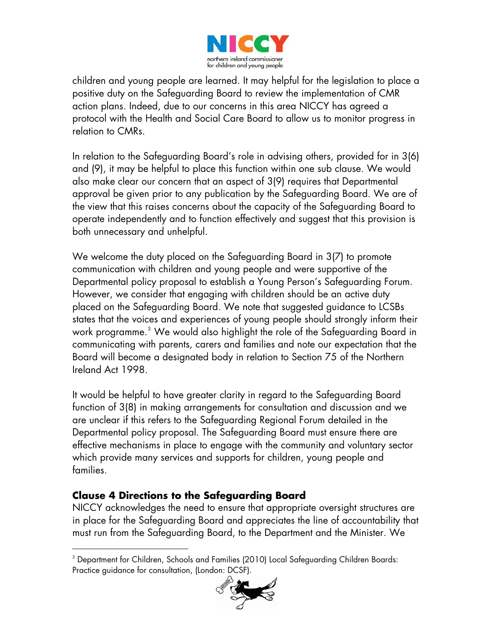

children and young people are learned. It may helpful for the legislation to place a positive duty on the Safeguarding Board to review the implementation of CMR action plans. Indeed, due to our concerns in this area NICCY has agreed a protocol with the Health and Social Care Board to allow us to monitor progress in relation to CMRs.

In relation to the Safeguarding Board's role in advising others, provided for in 3(6) and (9), it may be helpful to place this function within one sub clause. We would also make clear our concern that an aspect of 3(9) requires that Departmental approval be given prior to any publication by the Safeguarding Board. We are of the view that this raises concerns about the capacity of the Safeguarding Board to operate independently and to function effectively and suggest that this provision is both unnecessary and unhelpful.

We welcome the duty placed on the Safeguarding Board in 3(7) to promote communication with children and young people and were supportive of the Departmental policy proposal to establish a Young Person's Safeguarding Forum. However, we consider that engaging with children should be an active duty placed on the Safeguarding Board. We note that suggested guidance to LCSBs states that the voices and experiences of young people should strongly inform their work programme. $^{\text{3}}$  $^{\text{3}}$  $^{\text{3}}$  We would also highlight the role of the Safeguarding Board in  $^{\text{3}}$ communicating with parents, carers and families and note our expectation that the Board will become a designated body in relation to Section 75 of the Northern Ireland Act 1998.

It would be helpful to have greater clarity in regard to the Safeguarding Board function of 3(8) in making arrangements for consultation and discussion and we are unclear if this refers to the Safeguarding Regional Forum detailed in the Departmental policy proposal. The Safeguarding Board must ensure there are effective mechanisms in place to engage with the community and voluntary sector which provide many services and supports for children, young people and families.

# **Clause 4 Directions to the Safeguarding Board**

NICCY acknowledges the need to ensure that appropriate oversight structures are in place for the Safeguarding Board and appreciates the line of accountability that must run from the Safeguarding Board, to the Department and the Minister. We

<span id="page-3-0"></span> $\overline{a}$  $^{\rm 3}$  Department for Children, Schools and Families (2010) Local Safeguarding Children Boards: Practice guidance for consultation, (London: DCSF).

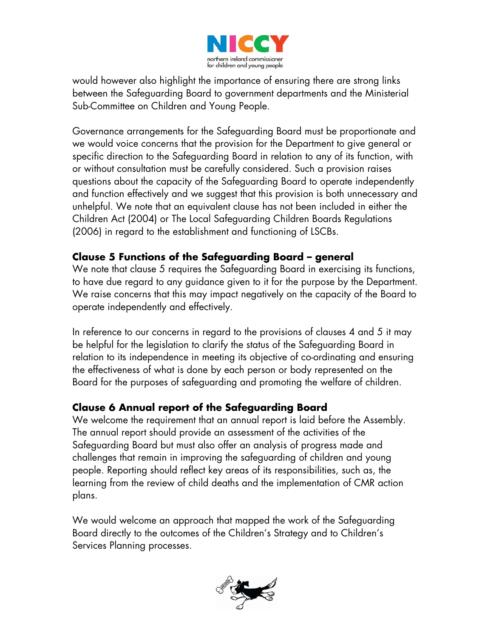

would however also highlight the importance of ensuring there are strong links between the Safeguarding Board to government departments and the Ministerial Sub-Committee on Children and Young People.

Governance arrangements for the Safeguarding Board must be proportionate and we would voice concerns that the provision for the Department to give general or specific direction to the Safeguarding Board in relation to any of its function, with or without consultation must be carefully considered. Such a provision raises questions about the capacity of the Safeguarding Board to operate independently and function effectively and we suggest that this provision is both unnecessary and unhelpful. We note that an equivalent clause has not been included in either the Children Act (2004) or The Local Safeguarding Children Boards Regulations (2006) in regard to the establishment and functioning of LSCBs.

#### **Clause 5 Functions of the Safeguarding Board – general**

We note that clause 5 requires the Safeguarding Board in exercising its functions, to have due regard to any guidance given to it for the purpose by the Department. We raise concerns that this may impact negatively on the capacity of the Board to operate independently and effectively.

In reference to our concerns in regard to the provisions of clauses 4 and 5 it may be helpful for the legislation to clarify the status of the Safeguarding Board in relation to its independence in meeting its objective of co-ordinating and ensuring the effectiveness of what is done by each person or body represented on the Board for the purposes of safeguarding and promoting the welfare of children.

# **Clause 6 Annual report of the Safeguarding Board**

We welcome the requirement that an annual report is laid before the Assembly. The annual report should provide an assessment of the activities of the Safeguarding Board but must also offer an analysis of progress made and challenges that remain in improving the safeguarding of children and young people. Reporting should reflect key areas of its responsibilities, such as, the learning from the review of child deaths and the implementation of CMR action plans.

We would welcome an approach that mapped the work of the Safeguarding Board directly to the outcomes of the Children's Strategy and to Children's Services Planning processes.

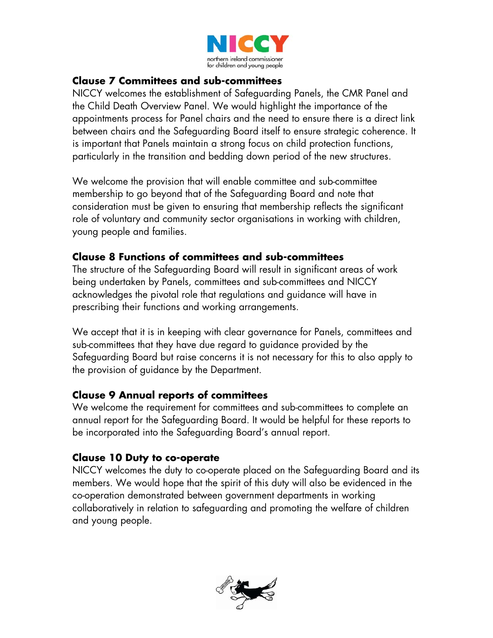

#### **Clause 7 Committees and sub-committees**

NICCY welcomes the establishment of Safeguarding Panels, the CMR Panel and the Child Death Overview Panel. We would highlight the importance of the appointments process for Panel chairs and the need to ensure there is a direct link between chairs and the Safeguarding Board itself to ensure strategic coherence. It is important that Panels maintain a strong focus on child protection functions, particularly in the transition and bedding down period of the new structures.

We welcome the provision that will enable committee and sub-committee membership to go beyond that of the Safeguarding Board and note that consideration must be given to ensuring that membership reflects the significant role of voluntary and community sector organisations in working with children, young people and families.

#### **Clause 8 Functions of committees and sub-committees**

The structure of the Safeguarding Board will result in significant areas of work being undertaken by Panels, committees and sub-committees and NICCY acknowledges the pivotal role that regulations and guidance will have in prescribing their functions and working arrangements.

We accept that it is in keeping with clear governance for Panels, committees and sub-committees that they have due regard to guidance provided by the Safeguarding Board but raise concerns it is not necessary for this to also apply to the provision of guidance by the Department.

#### **Clause 9 Annual reports of committees**

We welcome the requirement for committees and sub-committees to complete an annual report for the Safeguarding Board. It would be helpful for these reports to be incorporated into the Safeguarding Board's annual report.

#### **Clause 10 Duty to co-operate**

NICCY welcomes the duty to co-operate placed on the Safeguarding Board and its members. We would hope that the spirit of this duty will also be evidenced in the co-operation demonstrated between government departments in working collaboratively in relation to safeguarding and promoting the welfare of children and young people.

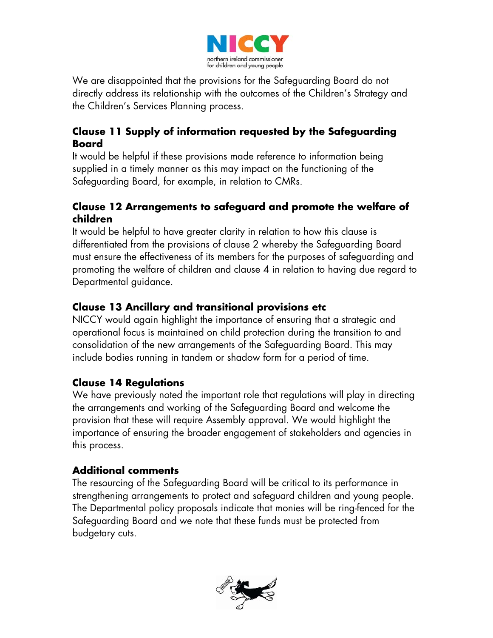

We are disappointed that the provisions for the Safeguarding Board do not directly address its relationship with the outcomes of the Children's Strategy and the Children's Services Planning process.

# **Clause 11 Supply of information requested by the Safeguarding Board**

It would be helpful if these provisions made reference to information being supplied in a timely manner as this may impact on the functioning of the Safeguarding Board, for example, in relation to CMRs.

# **Clause 12 Arrangements to safeguard and promote the welfare of children**

It would be helpful to have greater clarity in relation to how this clause is differentiated from the provisions of clause 2 whereby the Safeguarding Board must ensure the effectiveness of its members for the purposes of safeguarding and promoting the welfare of children and clause 4 in relation to having due regard to Departmental guidance.

# **Clause 13 Ancillary and transitional provisions etc**

NICCY would again highlight the importance of ensuring that a strategic and operational focus is maintained on child protection during the transition to and consolidation of the new arrangements of the Safeguarding Board. This may include bodies running in tandem or shadow form for a period of time.

# **Clause 14 Regulations**

We have previously noted the important role that regulations will play in directing the arrangements and working of the Safeguarding Board and welcome the provision that these will require Assembly approval. We would highlight the importance of ensuring the broader engagement of stakeholders and agencies in this process.

# **Additional comments**

The resourcing of the Safeguarding Board will be critical to its performance in strengthening arrangements to protect and safeguard children and young people. The Departmental policy proposals indicate that monies will be ring-fenced for the Safeguarding Board and we note that these funds must be protected from budgetary cuts.